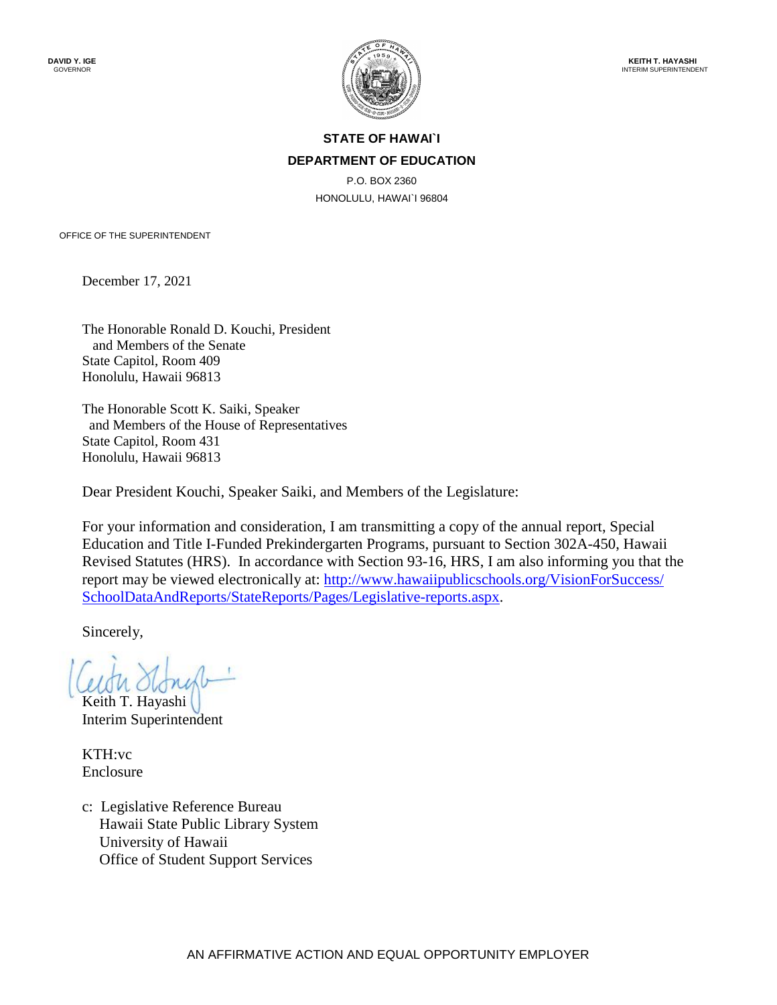

# **STATE OF HAWAI`I DEPARTMENT OF EDUCATION**

P.O. BOX 2360 HONOLULU, HAWAI`I 96804

OFFICE OF THE SUPERINTENDENT

December 17, 2021

The Honorable Ronald D. Kouchi, President and Members of the Senate State Capitol, Room 409 Honolulu, Hawaii 96813

The Honorable Scott K. Saiki, Speaker and Members of the House of Representatives State Capitol, Room 431 Honolulu, Hawaii 96813

Dear President Kouchi, Speaker Saiki, and Members of the Legislature:

For your information and consideration, I am transmitting a copy of the annual report, Special Education and Title I-Funded Prekindergarten Programs, pursuant to Section 302A-450, Hawaii Revised Statutes (HRS). In accordance with Section 93-16, HRS, I am also informing you that the report may be viewed electronically at: http://www.hawaiipublicschools.org/VisionForSuccess/ [SchoolDataAndReports/StateReports/Pages/Legislative-reports.aspx.](http://www.hawaiipublicschools.org/VisionForSuccess/SchoolDataAndReports/StateReports/Pages/Legislative-reports.aspx)

Sincerely,

Keith T. Hayashi Interim Superintendent

KTH:vc Enclosure

c: Legislative Reference Bureau Hawaii State Public Library System University of Hawaii Office of Student Support Services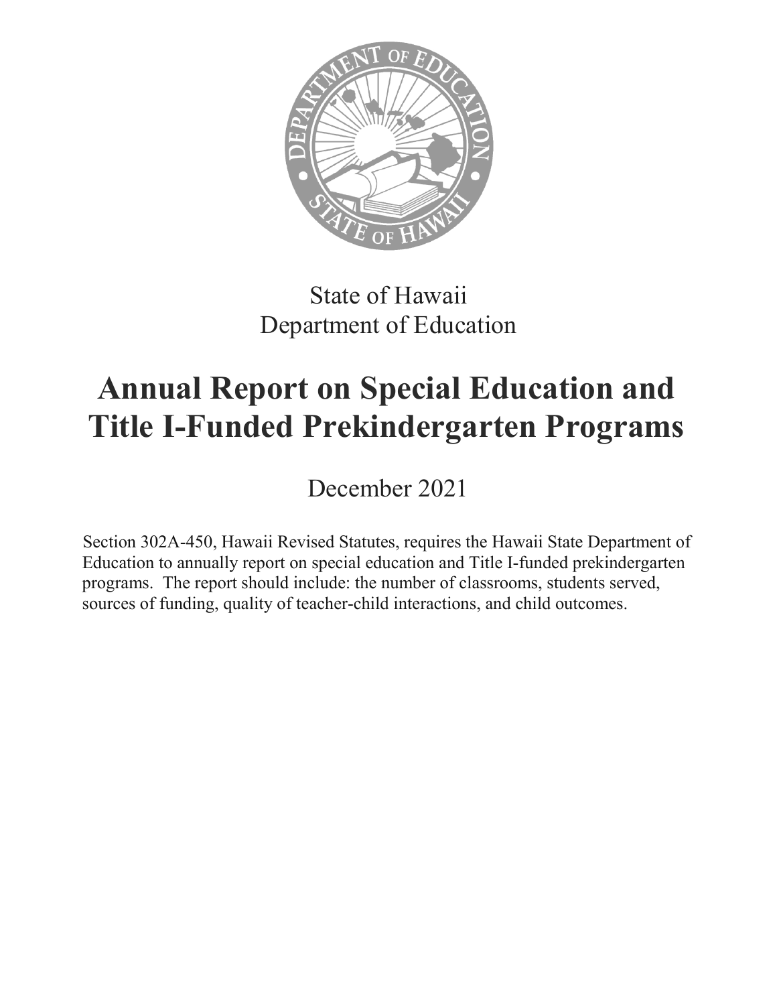

# State of Hawaii Department of Education

# **Annual Report on Special Education and Title I-Funded Prekindergarten Programs**

December 2021

Section 302A-450, Hawaii Revised Statutes, requires the Hawaii State Department of Education to annually report on special education and Title I-funded prekindergarten programs. The report should include: the number of classrooms, students served, sources of funding, quality of teacher-child interactions, and child outcomes.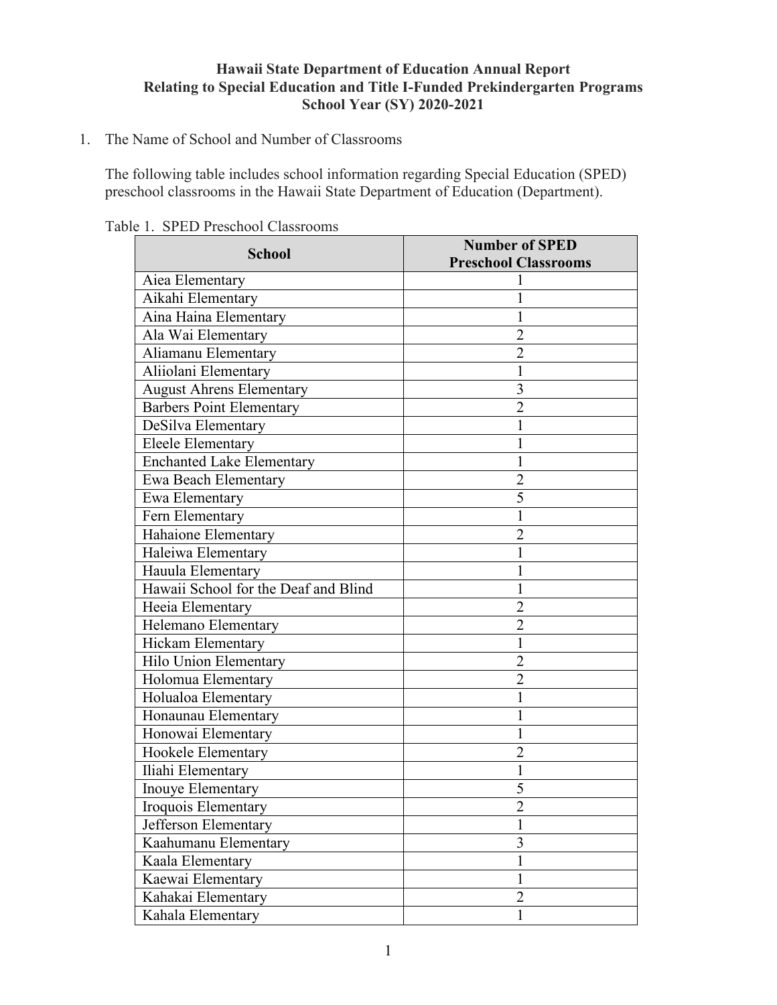### **Hawaii State Department of Education Annual Report Relating to Special Education and Title I-Funded Prekindergarten Programs School Year (SY) 2020-2021**

#### 1. The Name of School and Number of Classrooms

The following table includes school information regarding Special Education (SPED) preschool classrooms in the Hawaii State Department of Education (Department).

|                                      | <b>Number of SPED</b>       |  |
|--------------------------------------|-----------------------------|--|
| <b>School</b>                        | <b>Preschool Classrooms</b> |  |
| Aiea Elementary                      |                             |  |
| Aikahi Elementary                    |                             |  |
| Aina Haina Elementary                |                             |  |
| Ala Wai Elementary                   | $\overline{2}$              |  |
| Aliamanu Elementary                  | $\overline{2}$              |  |
| Aliiolani Elementary                 | 1                           |  |
| <b>August Ahrens Elementary</b>      | 3                           |  |
| <b>Barbers Point Elementary</b>      | 2                           |  |
| DeSilva Elementary                   |                             |  |
| <b>Eleele Elementary</b>             |                             |  |
| <b>Enchanted Lake Elementary</b>     |                             |  |
| Ewa Beach Elementary                 | $\overline{c}$              |  |
| Ewa Elementary                       | 5                           |  |
| Fern Elementary                      |                             |  |
| Hahaione Elementary                  | $\overline{2}$              |  |
| Haleiwa Elementary                   |                             |  |
| Hauula Elementary                    |                             |  |
| Hawaii School for the Deaf and Blind |                             |  |
| Heeia Elementary                     | 2                           |  |
| Helemano Elementary                  | $\overline{2}$              |  |
| Hickam Elementary                    | 1                           |  |
| Hilo Union Elementary                | $\overline{2}$              |  |
| Holomua Elementary                   | 2                           |  |
| Holualoa Elementary                  |                             |  |
| Honaunau Elementary                  |                             |  |
| Honowai Elementary                   |                             |  |
| Hookele Elementary                   | $\overline{2}$              |  |
| Iliahi Elementary                    | 1                           |  |
| Inouye Elementary                    | 5                           |  |
| Iroquois Elementary                  |                             |  |
| Jefferson Elementary                 |                             |  |
| Kaahumanu Elementary                 | 3                           |  |
| Kaala Elementary                     | 1                           |  |
| Kaewai Elementary                    | $\mathbf{1}$                |  |
| Kahakai Elementary                   | 2                           |  |
| Kahala Elementary                    | 1                           |  |

Table 1. SPED Preschool Classrooms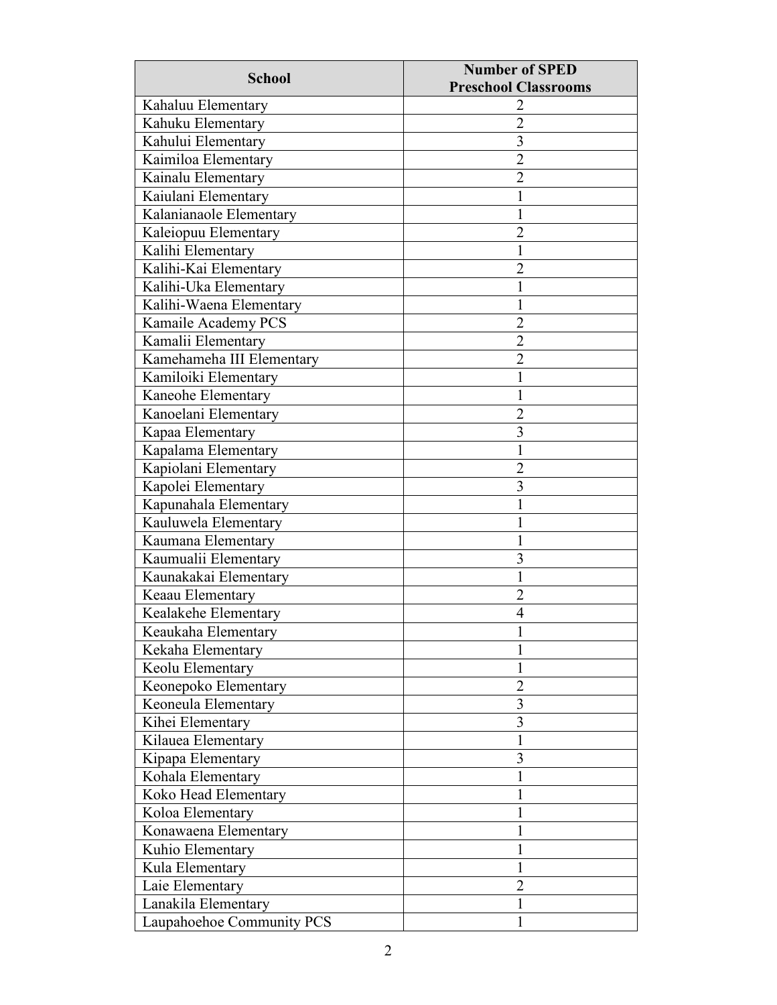| <b>School</b>             | <b>Number of SPED</b>       |
|---------------------------|-----------------------------|
|                           | <b>Preschool Classrooms</b> |
| Kahaluu Elementary        | 2                           |
| Kahuku Elementary         | $\overline{2}$              |
| Kahului Elementary        | $\overline{3}$              |
| Kaimiloa Elementary       | $\overline{2}$              |
| Kainalu Elementary        | 2                           |
| Kaiulani Elementary       |                             |
| Kalanianaole Elementary   |                             |
| Kaleiopuu Elementary      | 2                           |
| Kalihi Elementary         | 1                           |
| Kalihi-Kai Elementary     | 2                           |
| Kalihi-Uka Elementary     |                             |
| Kalihi-Waena Elementary   | 1                           |
| Kamaile Academy PCS       | $\overline{2}$              |
| Kamalii Elementary        | $\overline{2}$              |
| Kamehameha III Elementary | $\overline{2}$              |
| Kamiloiki Elementary      |                             |
| Kaneohe Elementary        | 1                           |
| Kanoelani Elementary      | $\overline{2}$              |
| Kapaa Elementary          | 3                           |
| Kapalama Elementary       |                             |
| Kapiolani Elementary      | 2                           |
| Kapolei Elementary        | 3                           |
| Kapunahala Elementary     |                             |
| Kauluwela Elementary      |                             |
| Kaumana Elementary        |                             |
| Kaumualii Elementary      | 3                           |
| Kaunakakai Elementary     | 1                           |
| Keaau Elementary          | $\overline{2}$              |
| Kealakehe Elementary      | 4                           |
| Keaukaha Elementary       | $\mathbf{1}$                |
| Kekaha Elementary         | 1                           |
| Keolu Elementary          | 1                           |
| Keonepoko Elementary      | $\overline{2}$              |
| Keoneula Elementary       | 3                           |
| Kihei Elementary          | 3                           |
| Kilauea Elementary        | 1                           |
| Kipapa Elementary         | 3                           |
| Kohala Elementary         |                             |
| Koko Head Elementary      |                             |
| Koloa Elementary          |                             |
| Konawaena Elementary      |                             |
| Kuhio Elementary          |                             |
| Kula Elementary           | 1                           |
| Laie Elementary           | $\overline{2}$              |
| Lanakila Elementary       | 1                           |
| Laupahoehoe Community PCS | 1                           |
|                           |                             |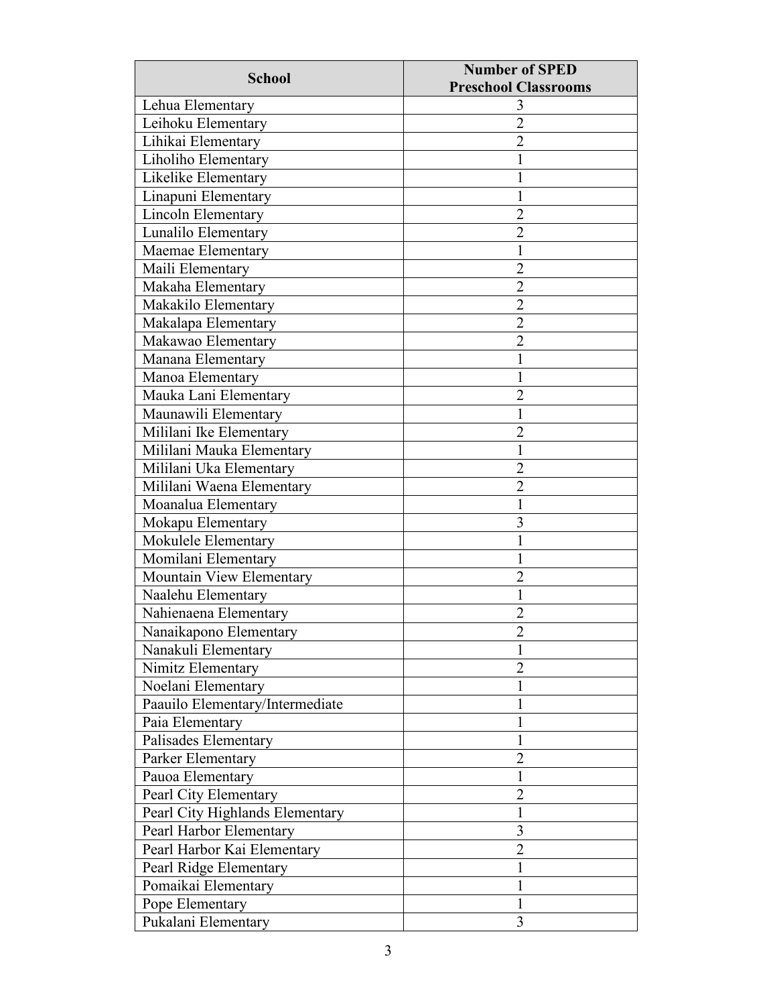| <b>School</b>                   | <b>Number of SPED</b>       |  |
|---------------------------------|-----------------------------|--|
|                                 | <b>Preschool Classrooms</b> |  |
| Lehua Elementary                | 3                           |  |
| Leihoku Elementary              | $\overline{2}$              |  |
| Lihikai Elementary              | $\overline{2}$              |  |
| Liholiho Elementary             | 1                           |  |
| Likelike Elementary             |                             |  |
| Linapuni Elementary             |                             |  |
| Lincoln Elementary              | $\overline{2}$              |  |
| Lunalilo Elementary             | $\overline{2}$              |  |
| Maemae Elementary               | 1                           |  |
| Maili Elementary                | $\overline{2}$              |  |
| Makaha Elementary               | $\overline{2}$              |  |
| Makakilo Elementary             | $\overline{2}$              |  |
| Makalapa Elementary             | $\overline{2}$              |  |
| Makawao Elementary              | $\overline{2}$              |  |
| Manana Elementary               |                             |  |
| Manoa Elementary                |                             |  |
| Mauka Lani Elementary           | $\overline{2}$              |  |
| Maunawili Elementary            |                             |  |
| Mililani Ike Elementary         | $\overline{2}$              |  |
| Mililani Mauka Elementary       |                             |  |
| Mililani Uka Elementary         | 2                           |  |
| Mililani Waena Elementary       | $\overline{2}$              |  |
| Moanalua Elementary             |                             |  |
| Mokapu Elementary               | 3                           |  |
| Mokulele Elementary             |                             |  |
| Momilani Elementary             | I                           |  |
| Mountain View Elementary        | 2                           |  |
| Naalehu Elementary              |                             |  |
| Nahienaena Elementary           | 2                           |  |
| Nanaikapono Elementary          | າ                           |  |
| Nanakuli Elementary             |                             |  |
| Nimitz Elementary               | $\overline{2}$              |  |
| Noelani Elementary              |                             |  |
| Paauilo Elementary/Intermediate |                             |  |
| Paia Elementary                 |                             |  |
| Palisades Elementary            |                             |  |
| Parker Elementary               | $\overline{2}$              |  |
| Pauoa Elementary                |                             |  |
| Pearl City Elementary           | $\overline{2}$              |  |
| Pearl City Highlands Elementary | 1                           |  |
| Pearl Harbor Elementary         | 3                           |  |
| Pearl Harbor Kai Elementary     | $\overline{2}$              |  |
| Pearl Ridge Elementary          | 1                           |  |
| Pomaikai Elementary             |                             |  |
| Pope Elementary                 |                             |  |
| Pukalani Elementary             | 3                           |  |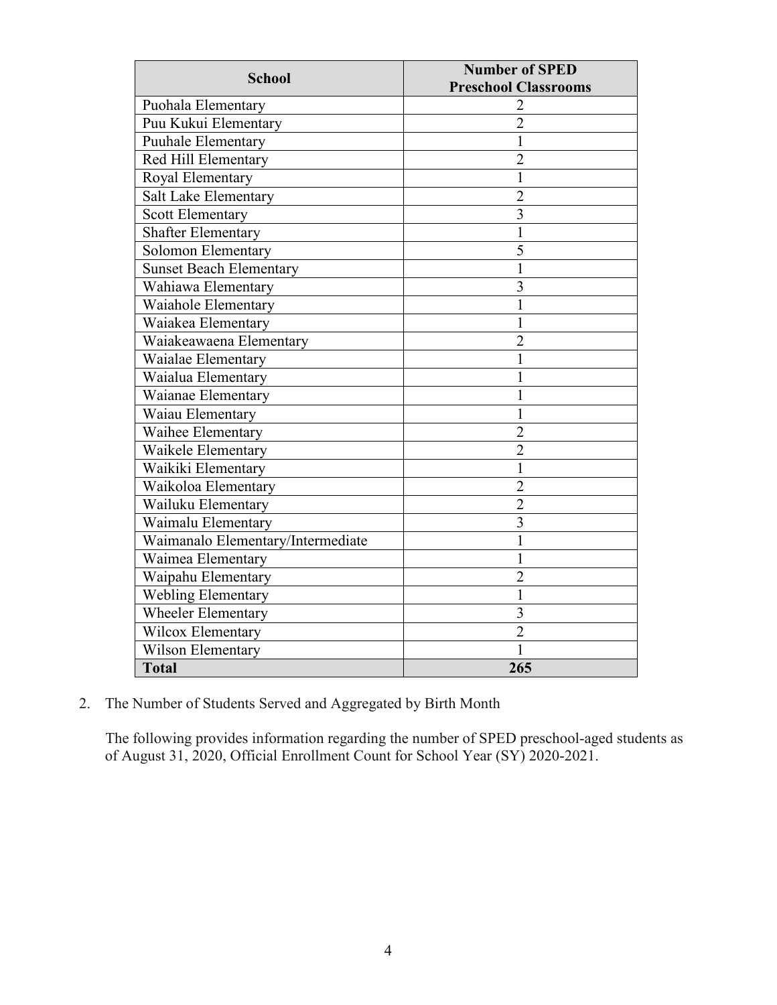| <b>School</b>                     | <b>Number of SPED</b>       |  |
|-----------------------------------|-----------------------------|--|
|                                   | <b>Preschool Classrooms</b> |  |
| Puohala Elementary                |                             |  |
| Puu Kukui Elementary              | $\overline{2}$              |  |
| Puuhale Elementary                | 1                           |  |
| Red Hill Elementary               | $\overline{2}$              |  |
| Royal Elementary                  | 1                           |  |
| Salt Lake Elementary              | $\overline{2}$              |  |
| <b>Scott Elementary</b>           | $\overline{3}$              |  |
| <b>Shafter Elementary</b>         | 1                           |  |
| Solomon Elementary                | 5                           |  |
| <b>Sunset Beach Elementary</b>    | 1                           |  |
| Wahiawa Elementary                | 3                           |  |
| Waiahole Elementary               |                             |  |
| Waiakea Elementary                | 1                           |  |
| Waiakeawaena Elementary           | $\overline{2}$              |  |
| Waialae Elementary                |                             |  |
| Waialua Elementary                |                             |  |
| Waianae Elementary                | 1                           |  |
| Waiau Elementary                  | 1                           |  |
| Waihee Elementary                 | $\overline{2}$              |  |
| Waikele Elementary                | $\overline{2}$              |  |
| Waikiki Elementary                | 1                           |  |
| Waikoloa Elementary               | $\overline{2}$              |  |
| Wailuku Elementary                | $\overline{2}$              |  |
| Waimalu Elementary                | $\overline{3}$              |  |
| Waimanalo Elementary/Intermediate | 1                           |  |
| Waimea Elementary                 | 1                           |  |
| Waipahu Elementary                | $\overline{2}$              |  |
| <b>Webling Elementary</b>         | 1                           |  |
| <b>Wheeler Elementary</b>         | 3                           |  |
| Wilcox Elementary                 | $\overline{2}$              |  |
| Wilson Elementary                 | 1                           |  |
| <b>Total</b>                      | 265                         |  |

2. The Number of Students Served and Aggregated by Birth Month

The following provides information regarding the number of SPED preschool-aged students as of August 31, 2020, Official Enrollment Count for School Year (SY) 2020-2021.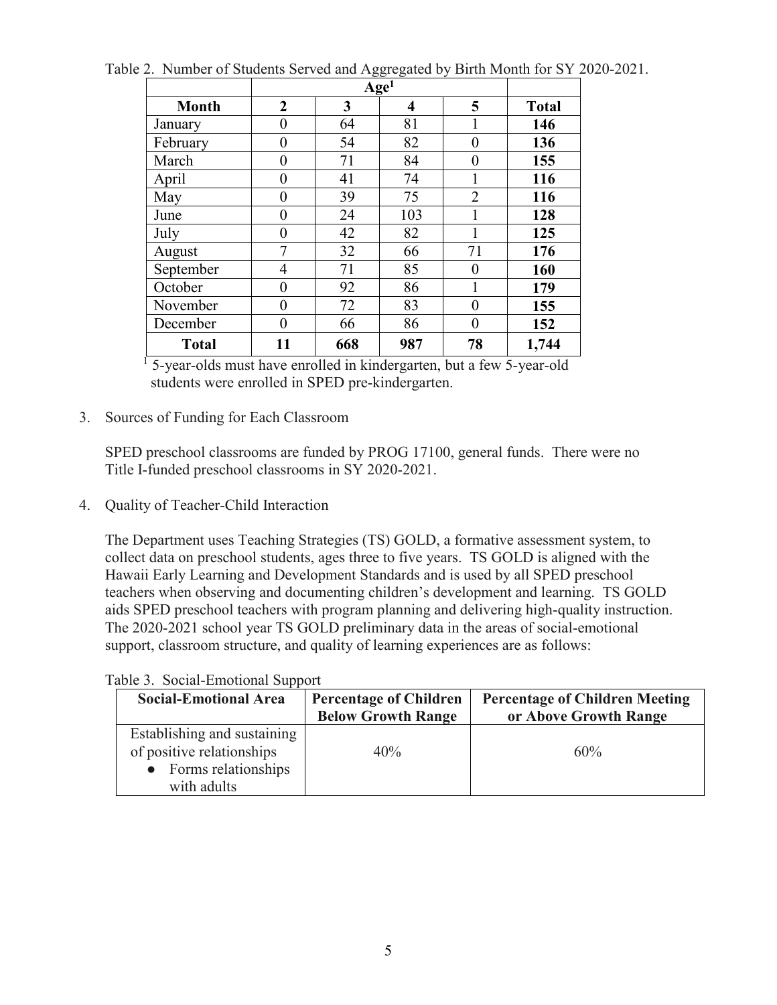|              | Age <sup>1</sup> |     |     |                |              |
|--------------|------------------|-----|-----|----------------|--------------|
| <b>Month</b> | $\overline{2}$   | 3   | 4   | 5              | <b>Total</b> |
| January      | 0                | 64  | 81  |                | 146          |
| February     | 0                | 54  | 82  | $\theta$       | 136          |
| March        | 0                | 71  | 84  | $\theta$       | 155          |
| April        | 0                | 41  | 74  | 1              | 116          |
| May          | 0                | 39  | 75  | $\overline{2}$ | 116          |
| June         | 0                | 24  | 103 |                | 128          |
| July         | 0                | 42  | 82  |                | 125          |
| August       | 7                | 32  | 66  | 71             | 176          |
| September    | 4                | 71  | 85  | 0              | 160          |
| October      | 0                | 92  | 86  |                | 179          |
| November     | 0                | 72  | 83  | $\Omega$       | 155          |
| December     | 0                | 66  | 86  | $\theta$       | 152          |
| <b>Total</b> | 11               | 668 | 987 | 78             | 1,744        |

Table 2. Number of Students Served and Aggregated by Birth Month for SY 2020-2021.

<sup>1</sup> 5-year-olds must have enrolled in kindergarten, but a few 5-year-old students were enrolled in SPED pre-kindergarten.

3. Sources of Funding for Each Classroom

SPED preschool classrooms are funded by PROG 17100, general funds. There were no Title I-funded preschool classrooms in SY 2020-2021.

4. Quality of Teacher-Child Interaction

The Department uses Teaching Strategies (TS) GOLD, a formative assessment system, to collect data on preschool students, ages three to five years. TS GOLD is aligned with the Hawaii Early Learning and Development Standards and is used by all SPED preschool teachers when observing and documenting children's development and learning. TS GOLD aids SPED preschool teachers with program planning and delivering high-quality instruction. The 2020-2021 school year TS GOLD preliminary data in the areas of social-emotional support, classroom structure, and quality of learning experiences are as follows:

| <b>Social-Emotional Area</b>                                                                     | <b>Percentage of Children</b><br><b>Below Growth Range</b> | <b>Percentage of Children Meeting</b><br>or Above Growth Range |
|--------------------------------------------------------------------------------------------------|------------------------------------------------------------|----------------------------------------------------------------|
| Establishing and sustaining<br>of positive relationships<br>• Forms relationships<br>with adults | 40%                                                        | 60%                                                            |

Table 3. Social-Emotional Support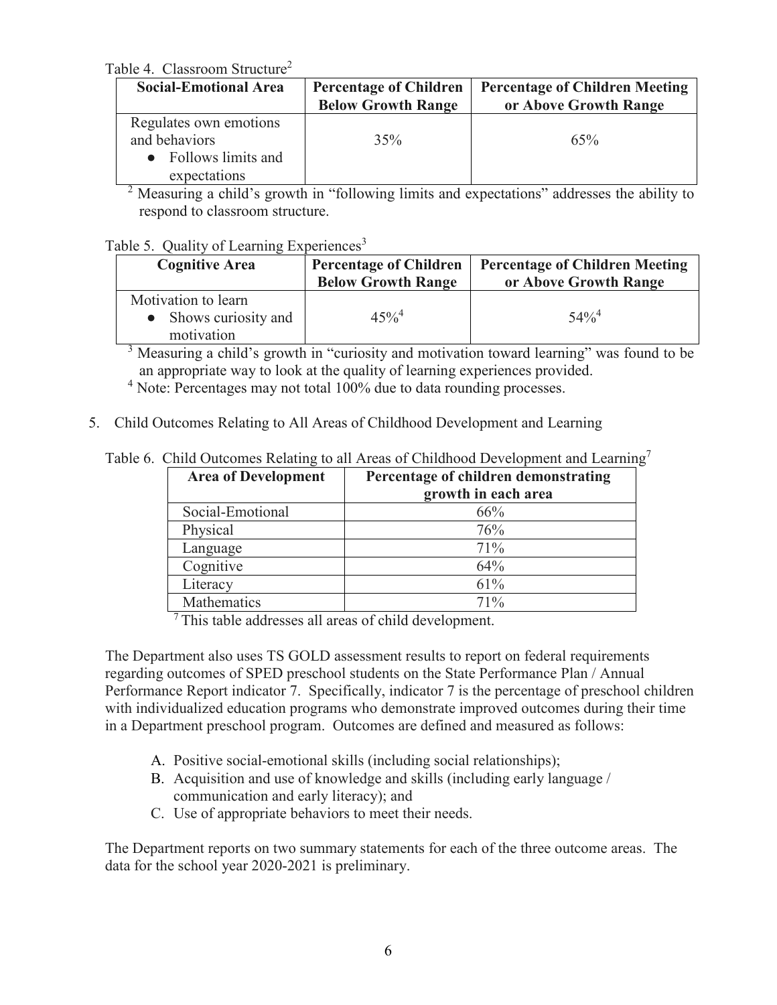Table 4. Classroom Structure<sup>2</sup>

| <b>Social-Emotional Area</b>                                                  | <b>Percentage of Children</b><br><b>Below Growth Range</b> | <b>Percentage of Children Meeting</b><br>or Above Growth Range |
|-------------------------------------------------------------------------------|------------------------------------------------------------|----------------------------------------------------------------|
| Regulates own emotions<br>and behaviors<br>Follows limits and<br>expectations | 35%                                                        | 65%                                                            |

<sup>2</sup> Measuring a child's growth in "following limits and expectations" addresses the ability to respond to classroom structure.

#### Table 5. Quality of Learning Experiences<sup>3</sup>

| <b>Cognitive Area</b>                                      | <b>Percentage of Children</b><br><b>Below Growth Range</b> | <b>Percentage of Children Meeting</b><br>or Above Growth Range |
|------------------------------------------------------------|------------------------------------------------------------|----------------------------------------------------------------|
| Motivation to learn<br>• Shows curiosity and<br>motivation | $45\%^{4}$                                                 | $54\%$ <sup>4</sup>                                            |

<sup>3</sup> Measuring a child's growth in "curiosity and motivation toward learning" was found to be an appropriate way to look at the quality of learning experiences provided.

<sup>4</sup> Note: Percentages may not total 100% due to data rounding processes.

5. Child Outcomes Relating to All Areas of Childhood Development and Learning

|  |  |  | Table 6. Child Outcomes Relating to all Areas of Childhood Development and Learning7 |  |  |
|--|--|--|--------------------------------------------------------------------------------------|--|--|
|--|--|--|--------------------------------------------------------------------------------------|--|--|

| <b>Area of Development</b> | Percentage of children demonstrating<br>growth in each area |
|----------------------------|-------------------------------------------------------------|
| Social-Emotional           | 66%                                                         |
| Physical                   | 76%                                                         |
| Language                   | 71%                                                         |
| Cognitive                  | 64%                                                         |
| Literacy                   | 61%                                                         |
| <b>Mathematics</b>         | 71%                                                         |

7 This table addresses all areas of child development.

The Department also uses TS GOLD assessment results to report on federal requirements regarding outcomes of SPED preschool students on the State Performance Plan / Annual Performance Report indicator 7. Specifically, indicator 7 is the percentage of preschool children with individualized education programs who demonstrate improved outcomes during their time in a Department preschool program. Outcomes are defined and measured as follows:

- A. Positive social-emotional skills (including social relationships);
- B. Acquisition and use of knowledge and skills (including early language / communication and early literacy); and
- C. Use of appropriate behaviors to meet their needs.

The Department reports on two summary statements for each of the three outcome areas. The data for the school year 2020-2021 is preliminary.